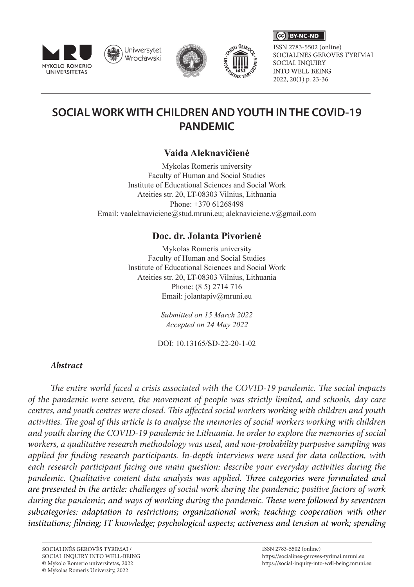

Uniwersytet Wrocławski





SOCIALINĖS GEROVĖS TYRIMAI SOCIAL INQUIRY<br>INTO WELL-BEING 2022, 20(1) p. 23-36 ISSN 2783-5502 (online)

 $\left(\begin{matrix} \begin{matrix} 1 \\ 0 \\ 0 \end{matrix} \end{matrix}\right)$  BY-NC-ND

# **SOCIAL WORK WITH CHILDREN AND YOUTH IN THE COVID-19 PANDEMIC**

# **Vaida Aleknavičienė**

Mykolas Romeris university Faculty of Human and Social Studies Institute of Educational Sciences and Social Work Ateities str. 20, LT-08303 Vilnius, Lithuania Phone: +370 61268498 Email: vaaleknaviciene@stud.mruni.eu; aleknaviciene.v@gmail.com

# **Doc. dr. Jolanta Pivorienė**

Mykolas Romeris university Faculty of Human and Social Studies Institute of Educational Sciences and Social Work Ateities str. 20, LT-08303 Vilnius, Lithuania Phone: (8 5) 2714 716 Email: jolantapiv@mruni.eu

> *Submitted on 15 March 2022 Accepted on 24 May 2022*

DOI: 10.13165/SD-22-20-1-02

### *Abstract*

*The entire world faced a crisis associated with the COVID-19 pandemic. The social impacts of the pandemic were severe, the movement of people was strictly limited, and schools, day care centres, and youth centres were closed. This affected social workers working with children and youth activities. The goal of this article is to analyse the memories of social workers working with children and youth during the COVID-19 pandemic in Lithuania. In order to explore the memories of social workers, a qualitative research methodology was used, and non-probability purposive sampling was applied for finding research participants. In-depth interviews were used for data collection, with each research participant facing one main question: describe your everyday activities during the pandemic. Qualitative content data analysis was applied. Three categories were formulated and are presented in the article: challenges of social work during the pandemic; positive factors of work during the pandemic; and ways of working during the pandemic. These were followed by seventeen subcategories: adaptation to restrictions; organizational work; teaching; cooperation with other institutions; filming; IT knowledge; psychological aspects; activeness and tension at work; spending*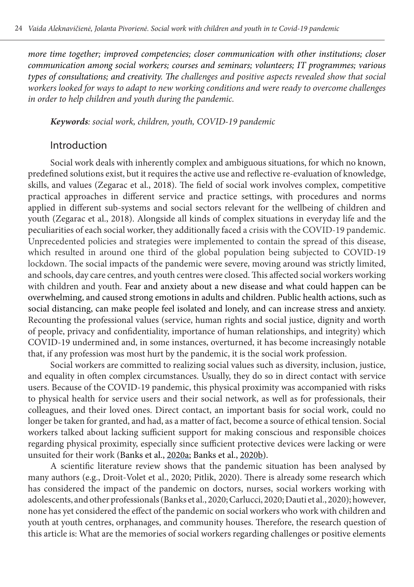*more time together; improved competencies; closer communication with other institutions; closer communication among social workers; courses and seminars; volunteers; IT programmes; various types of consultations; and creativity. The challenges and positive aspects revealed show that social workers looked for ways to adapt to new working conditions and were ready to overcome challenges in order to help children and youth during the pandemic.*

*Keywords: social work, children, youth, COVID-19 pandemic*

#### Introduction

Social work deals with inherently complex and ambiguous situations, for which no known, predefined solutions exist, but it requires the active use and reflective re-evaluation of knowledge, skills, and values (Zegarac et al., 2018). The field of social work involves complex, competitive practical approaches in different service and practice settings, with procedures and norms applied in different sub-systems and social sectors relevant for the wellbeing of children and youth (Zegarac et al., 2018). Alongside all kinds of complex situations in everyday life and the peculiarities of each social worker, they additionally faced a crisis with the COVID-19 pandemic. Unprecedented policies and strategies were implemented to contain the spread of this disease, which resulted in around one third of the global population being subjected to COVID-19 lockdown. The social impacts of the pandemic were severe, moving around was strictly limited, and schools, day care centres, and youth centres were closed. This affected social workers working with children and youth. Fear and anxiety about a new disease and what could happen can be overwhelming, and caused strong emotions in adults and children. Public health actions, such as social distancing, can make people feel isolated and lonely, and can increase stress and anxiety. Recounting the professional values (service, human rights and social justice, dignity and worth of people, privacy and confidentiality, importance of human relationships, and integrity) which COVID-19 undermined and, in some instances, overturned, it has become increasingly notable that, if any profession was most hurt by the pandemic, it is the social work profession.

Social workers are committed to realizing social values such as diversity, inclusion, justice, and equality in often complex circumstances. Usually, they do so in direct contact with service users. Because of the COVID-19 pandemic, this physical proximity was accompanied with risks to physical health for service users and their social network, as well as for professionals, their colleagues, and their loved ones. Direct contact, an important basis for social work, could no longer be taken for granted, and had, as a matter of fact, become a source of ethical tension. Social workers talked about lacking sufficient support for making conscious and responsible choices regarding physical proximity, especially since sufficient protective devices were lacking or were unsuited for their work (Banks et al., 2020a; Banks et al., 2020b).

A scientific literature review shows that the pandemic situation has been analysed by many authors (e.g., Droit-Volet et al., 2020; Pitlik, 2020). There is already some research which has considered the impact of the pandemic on doctors, nurses, social workers working with adolescents, and other professionals (Banks et al., 2020; Carlucci, 2020; Dauti et al., 2020); however, none has yet considered the effect of the pandemic on social workers who work with children and youth at youth centres, orphanages, and community houses. Therefore, the research question of this article is: What are the memories of social workers regarding challenges or positive elements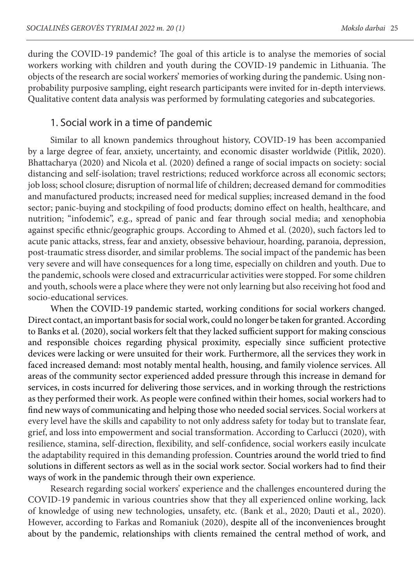during the COVID-19 pandemic? The goal of this article is to analyse the memories of social workers working with children and youth during the COVID-19 pandemic in Lithuania. The objects of the research are social workers' memories of working during the pandemic. Using nonprobability purposive sampling, eight research participants were invited for in-depth interviews. Qualitative content data analysis was performed by formulating categories and subcategories.

#### 1. Social work in a time of pandemic

Similar to all known pandemics throughout history, COVID-19 has been accompanied by a large degree of fear, anxiety, uncertainty, and economic disaster worldwide (Pitlik, 2020). Bhattacharya (2020) and Nicola et al. (2020) defined a range of social impacts on society: social distancing and self-isolation; travel restrictions; reduced workforce across all economic sectors; job loss; school closure; disruption of normal life of children; decreased demand for commodities and manufactured products; increased need for medical supplies; increased demand in the food sector; panic-buying and stockpiling of food products; domino effect on health, healthcare, and nutrition; "infodemic", e.g., spread of panic and fear through social media; and xenophobia against specific ethnic/geographic groups. According to Ahmed et al. (2020), such factors led to acute panic attacks, stress, fear and anxiety, obsessive behaviour, hoarding, paranoia, depression, post-traumatic stress disorder, and similar problems. The social impact of the pandemic has been very severe and will have consequences for a long time, especially on children and youth. Due to the pandemic, schools were closed and extracurricular activities were stopped. For some children and youth, schools were a place where they were not only learning but also receiving hot food and socio-educational services.

When the COVID-19 pandemic started, working conditions for social workers changed. Direct contact, an important basis for social work, could no longer be taken for granted. According to Banks et al. (2020), social workers felt that they lacked sufficient support for making conscious and responsible choices regarding physical proximity, especially since sufficient protective devices were lacking or were unsuited for their work. Furthermore, all the services they work in faced increased demand: most notably mental health, housing, and family violence services. All areas of the community sector experienced added pressure through this increase in demand for services, in costs incurred for delivering those services, and in working through the restrictions as they performed their work. As people were confined within their homes, social workers had to find new ways of communicating and helping those who needed social services. Social workers at every level have the skills and capability to not only address safety for today but to translate fear, grief, and loss into empowerment and social transformation. According to Carlucci (2020), with resilience, stamina, self-direction, flexibility, and self-confidence, social workers easily inculcate the adaptability required in this demanding profession. Countries around the world tried to find solutions in different sectors as well as in the social work sector. Social workers had to find their ways of work in the pandemic through their own experience.

Research regarding social workers' experience and the challenges encountered during the COVID-19 pandemic in various countries show that they all experienced online working, lack of knowledge of using new technologies, unsafety, etc. (Bank et al., 2020; Dauti et al., 2020). However, according to Farkas and Romaniuk (2020), despite all of the inconveniences brought about by the pandemic, relationships with clients remained the central method of work, and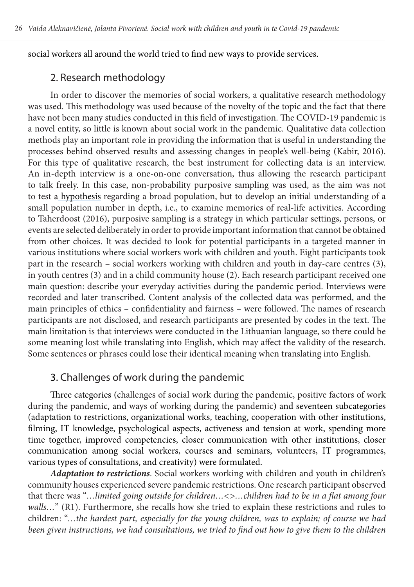social workers all around the world tried to find new ways to provide services.

### 2. Research methodology

In order to discover the memories of social workers, a qualitative research methodology was used. This methodology was used because of the novelty of the topic and the fact that there have not been many studies conducted in this field of investigation. The COVID-19 pandemic is a novel entity, so little is known about social work in the pandemic. Qualitative data collection methods play an important role in providing the information that is useful in understanding the processes behind observed results and assessing changes in people's well-being (Kabir, 2016). For this type of qualitative research, the best instrument for collecting data is an interview. An in-depth interview is a one-on-one conversation, thus allowing the research participant to talk freely. In this case, non-probability purposive sampling was used, as the aim was not to test a hypothesis regarding a broad population, but to develop an initial understanding of a small population number in depth, i.e., to examine memories of real-life activities. According to Taherdoost (2016), purposive sampling is a strategy in which particular settings, persons, or events are selected deliberately in order to provide important information that cannot be obtained from other choices. It was decided to look for potential participants in a targeted manner in various institutions where social workers work with children and youth. Eight participants took part in the research – social workers working with children and youth in day-care centres (3), in youth centres (3) and in a child community house (2). Each research participant received one main question: describe your everyday activities during the pandemic period. Interviews were recorded and later transcribed. Content analysis of the collected data was performed, and the main principles of ethics – confidentiality and fairness – were followed. The names of research participants are not disclosed, and research participants are presented by codes in the text. The main limitation is that interviews were conducted in the Lithuanian language, so there could be some meaning lost while translating into English, which may affect the validity of the research. Some sentences or phrases could lose their identical meaning when translating into English.

### 3. Challenges of work during the pandemic

Three categories (challenges of social work during the pandemic, positive factors of work during the pandemic, and ways of working during the pandemic) and seventeen subcategories (adaptation to restrictions, organizational works, teaching, cooperation with other institutions, filming, IT knowledge, psychological aspects, activeness and tension at work, spending more time together, improved competencies, closer communication with other institutions, closer communication among social workers, courses and seminars, volunteers, IT programmes, various types of consultations, and creativity) were formulated.

*Adaptation to restrictions*. Social workers working with children and youth in children's community houses experienced severe pandemic restrictions. One research participant observed that there was "*…limited going outside for children…<>…children had to be in a flat among four*  walls..." (R1). Furthermore, she recalls how she tried to explain these restrictions and rules to children: "…*the hardest part, especially for the young children, was to explain; of course we had been given instructions, we had consultations, we tried to find out how to give them to the children*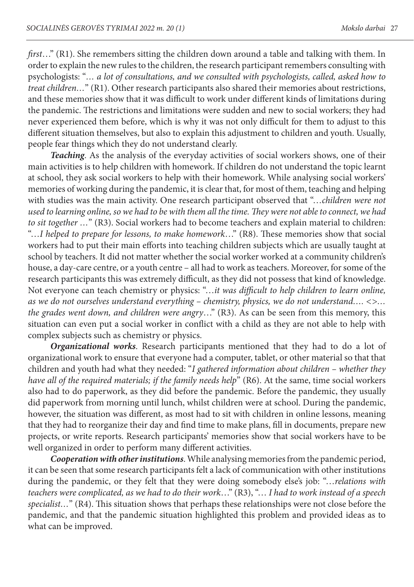*first*…" (R1). She remembers sitting the children down around a table and talking with them. In order to explain the new rules to the children, the research participant remembers consulting with psychologists: "*… a lot of consultations, and we consulted with psychologists, called, asked how to treat children…*" (R1). Other research participants also shared their memories about restrictions, and these memories show that it was difficult to work under different kinds of limitations during the pandemic. The restrictions and limitations were sudden and new to social workers; they had never experienced them before, which is why it was not only difficult for them to adjust to this different situation themselves, but also to explain this adjustment to children and youth. Usually, people fear things which they do not understand clearly.

*Teaching*. As the analysis of the everyday activities of social workers shows, one of their main activities is to help children with homework. If children do not understand the topic learnt at school, they ask social workers to help with their homework. While analysing social workers' memories of working during the pandemic, it is clear that, for most of them, teaching and helping with studies was the main activity. One research participant observed that "…*children were not used to learning online, so we had to be with them all the time. They were not able to connect, we had to sit together …*" (R3). Social workers had to become teachers and explain material to children: "…*I helped to prepare for lessons, to make homework*…" (R8). These memories show that social workers had to put their main efforts into teaching children subjects which are usually taught at school by teachers. It did not matter whether the social worker worked at a community children's house, a day-care centre, or a youth centre – all had to work as teachers. Moreover, for some of the research participants this was extremely difficult, as they did not possess that kind of knowledge. Not everyone can teach chemistry or physics: "…*it was difficult to help children to learn online, as we do not ourselves understand everything – chemistry, physics, we do not understand…. <>… the grades went down, and children were angry*…" (R3). As can be seen from this memory, this situation can even put a social worker in conflict with a child as they are not able to help with complex subjects such as chemistry or physics.

*Organizational works*. Research participants mentioned that they had to do a lot of organizational work to ensure that everyone had a computer, tablet, or other material so that that children and youth had what they needed: "*I gathered information about children – whether they have all of the required materials; if the family needs help*" (R6). At the same, time social workers also had to do paperwork, as they did before the pandemic. Before the pandemic, they usually did paperwork from morning until lunch, whilst children were at school. During the pandemic, however, the situation was different, as most had to sit with children in online lessons, meaning that they had to reorganize their day and find time to make plans, fill in documents, prepare new projects, or write reports. Research participants' memories show that social workers have to be well organized in order to perform many different activities.

*Cooperation with other institutions*. While analysing memories from the pandemic period, it can be seen that some research participants felt a lack of communication with other institutions during the pandemic, or they felt that they were doing somebody else's job: "…*relations with teachers were complicated, as we had to do their work*…" (R3), "… *I had to work instead of a speech specialist…*" (R4). This situation shows that perhaps these relationships were not close before the pandemic, and that the pandemic situation highlighted this problem and provided ideas as to what can be improved.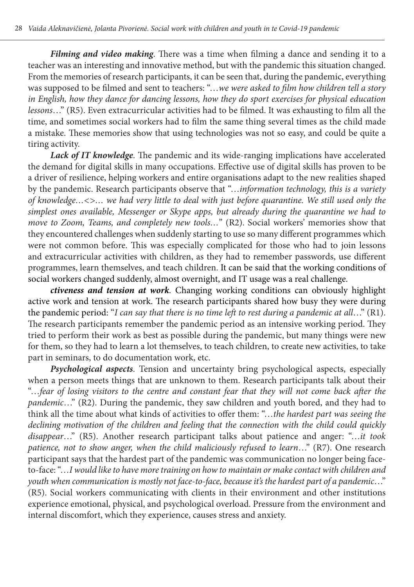*Filming and video making*. There was a time when filming a dance and sending it to a teacher was an interesting and innovative method, but with the pandemic this situation changed. From the memories of research participants, it can be seen that, during the pandemic, everything was supposed to be filmed and sent to teachers: "…*we were asked to film how children tell a story in English, how they dance for dancing lessons, how they do sport exercises for physical education lessons*…" (R5). Even extracurricular activities had to be filmed. It was exhausting to film all the time, and sometimes social workers had to film the same thing several times as the child made a mistake. These memories show that using technologies was not so easy, and could be quite a tiring activity.

*Lack of IT knowledge*. The pandemic and its wide-ranging implications have accelerated the demand for digital skills in many occupations. Effective use of digital skills has proven to be a driver of resilience, helping workers and entire organisations adapt to the new realities shaped by the pandemic. Research participants observe that "…*information technology, this is a variety of knowledge…<>… we had very little to deal with just before quarantine. We still used only the simplest ones available, Messenger or Skype apps, but already during the quarantine we had to move to Zoom, Teams, and completely new tools…*" (R2). Social workers' memories show that they encountered challenges when suddenly starting to use so many different programmes which were not common before. This was especially complicated for those who had to join lessons and extracurricular activities with children, as they had to remember passwords, use different programmes, learn themselves, and teach children. It can be said that the working conditions of social workers changed suddenly, almost overnight, and IT usage was a real challenge.

*ctiveness and tension at work*. Changing working conditions can obviously highlight active work and tension at work. The research participants shared how busy they were during the pandemic period: "*I can say that there is no time left to rest during a pandemic at all*…" (R1). The research participants remember the pandemic period as an intensive working period. They tried to perform their work as best as possible during the pandemic, but many things were new for them, so they had to learn a lot themselves, to teach children, to create new activities, to take part in seminars, to do documentation work, etc.

*Psychological aspects*. Tension and uncertainty bring psychological aspects, especially when a person meets things that are unknown to them. Research participants talk about their "…*fear of losing visitors to the centre and constant fear that they will not come back after the pandemic*…" (R2). During the pandemic, they saw children and youth bored, and they had to think all the time about what kinds of activities to offer them: "…*the hardest part was seeing the declining motivation of the children and feeling that the connection with the child could quickly disappear*…" (R5). Another research participant talks about patience and anger: "…*it took patience, not to show anger, when the child maliciously refused to learn*…" (R7). One research participant says that the hardest part of the pandemic was communication no longer being faceto-face: "…*I would like to have more training on how to maintain or make contact with children and youth when communication is mostly not face-to-face, because it's the hardest part of a pandemic*…" (R5). Social workers communicating with clients in their environment and other institutions experience emotional, physical, and psychological overload. Pressure from the environment and internal discomfort, which they experience, causes stress and anxiety.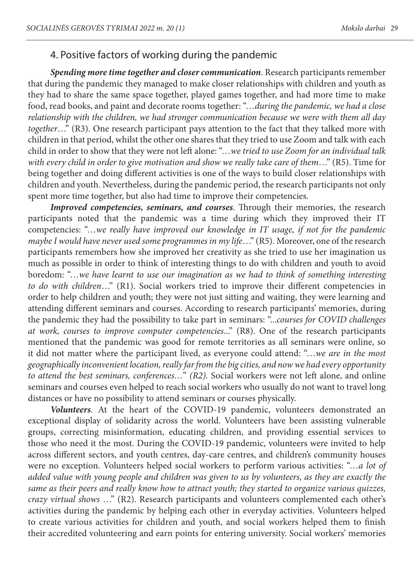#### 4. Positive factors of working during the pandemic

*Spending more time together and closer communication*. Research participants remember that during the pandemic they managed to make closer relationships with children and youth as they had to share the same space together, played games together, and had more time to make food, read books, and paint and decorate rooms together: "…*during the pandemic, we had a close relationship with the children, we had stronger communication because we were with them all day together*…" (R3). One research participant pays attention to the fact that they talked more with children in that period, whilst the other one shares that they tried to use Zoom and talk with each child in order to show that they were not left alone: "…*we tried to use Zoom for an individual talk with every child in order to give motivation and show we really take care of them*…" (R5). Time for being together and doing different activities is one of the ways to build closer relationships with children and youth. Nevertheless, during the pandemic period, the research participants not only spent more time together, but also had time to improve their competencies.

*Improved competencies, seminars, and courses*. Through their memories, the research participants noted that the pandemic was a time during which they improved their IT competencies: "…*we really have improved our knowledge in IT usage, if not for the pandemic maybe I would have never used some programmes in my life*…" (R5). Moreover, one of the research participants remembers how she improved her creativity as she tried to use her imagination us much as possible in order to think of interesting things to do with children and youth to avoid boredom: "…*we have learnt to use our imagination as we had to think of something interesting to do with children*…" (R1). Social workers tried to improve their different competencies in order to help children and youth; they were not just sitting and waiting, they were learning and attending different seminars and courses. According to research participants' memories, during the pandemic they had the possibility to take part in seminars: "...*courses for COVID challenges at work, courses to improve computer competencies*..." (R8). One of the research participants mentioned that the pandemic was good for remote territories as all seminars were online, so it did not matter where the participant lived, as everyone could attend: "…*we are in the most geographically inconvenient location, really far from the big cities, and now we had every opportunity to attend the best seminars, conferences…*" *(R2).* Social workers were not left alone, and online seminars and courses even helped to reach social workers who usually do not want to travel long distances or have no possibility to attend seminars or courses physically.

*Volunteers*. At the heart of the COVID-19 pandemic, volunteers demonstrated an exceptional display of solidarity across the world. Volunteers have been assisting vulnerable groups, correcting misinformation, educating children, and providing essential services to those who need it the most. During the COVID-19 pandemic, volunteers were invited to help across different sectors, and youth centres, day-care centres, and children's community houses were no exception. Volunteers helped social workers to perform various activities: "…*a lot of added value with young people and children was given to us by volunteers, as they are exactly the same as their peers and really know how to attract youth; they started to organize various quizzes, crazy virtual shows* …" (R2). Research participants and volunteers complemented each other's activities during the pandemic by helping each other in everyday activities. Volunteers helped to create various activities for children and youth, and social workers helped them to finish their accredited volunteering and earn points for entering university. Social workers' memories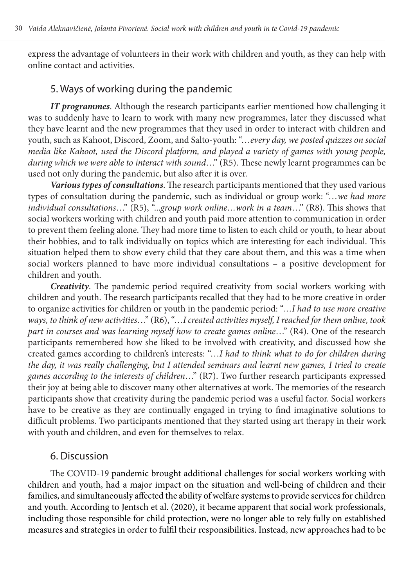express the advantage of volunteers in their work with children and youth, as they can help with online contact and activities.

### 5. Ways of working during the pandemic

*IT programmes*. Although the research participants earlier mentioned how challenging it was to suddenly have to learn to work with many new programmes, later they discussed what they have learnt and the new programmes that they used in order to interact with children and youth, such as Kahoot, Discord, Zoom, and Salto-youth: "…*every day, we posted quizzes on social media like Kahoot, used the Discord platform, and played a variety of games with young people, during which we were able to interact with sound*…" (R5). These newly learnt programmes can be used not only during the pandemic, but also after it is over.

*Various types of consultations*. The research participants mentioned that they used various types of consultation during the pandemic, such as individual or group work: "…*we had more individual consultations*…" (R5), "...*group work online…work in a team*…" (R8). This shows that social workers working with children and youth paid more attention to communication in order to prevent them feeling alone. They had more time to listen to each child or youth, to hear about their hobbies, and to talk individually on topics which are interesting for each individual. This situation helped them to show every child that they care about them, and this was a time when social workers planned to have more individual consultations – a positive development for children and youth.

*Creativity*. The pandemic period required creativity from social workers working with children and youth. The research participants recalled that they had to be more creative in order to organize activities for children or youth in the pandemic period: "…*I had to use more creative ways, to think of new activities*…" (R6), "…*I created activities myself, I reached for them online, took part in courses and was learning myself how to create games online*…" (R4). One of the research participants remembered how she liked to be involved with creativity, and discussed how she created games according to children's interests: "…*I had to think what to do for children during the day, it was really challenging, but I attended seminars and learnt new games, I tried to create games according to the interests of children*…" (R7). Two further research participants expressed their joy at being able to discover many other alternatives at work. The memories of the research participants show that creativity during the pandemic period was a useful factor. Social workers have to be creative as they are continually engaged in trying to find imaginative solutions to difficult problems. Two participants mentioned that they started using art therapy in their work with youth and children, and even for themselves to relax.

#### 6. Discussion

The COVID-19 pandemic brought additional challenges for social workers working with children and youth, had a major impact on the situation and well-being of children and their families, and simultaneously affected the ability of welfare systems to provide services for children and youth. According to Jentsch et al. (2020), it became apparent that social work professionals, including those responsible for child protection, were no longer able to rely fully on established measures and strategies in order to fulfil their responsibilities. Instead, new approaches had to be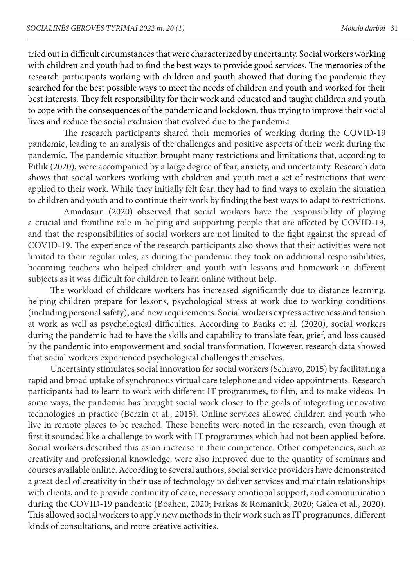tried out in difficult circumstances that were characterized by uncertainty. Social workers working with children and youth had to find the best ways to provide good services. The memories of the research participants working with children and youth showed that during the pandemic they searched for the best possible ways to meet the needs of children and youth and worked for their best interests. They felt responsibility for their work and educated and taught children and youth to cope with the consequences of the pandemic and lockdown, thus trying to improve their social lives and reduce the social exclusion that evolved due to the pandemic.

The research participants shared their memories of working during the COVID-19 pandemic, leading to an analysis of the challenges and positive aspects of their work during the pandemic. The pandemic situation brought many restrictions and limitations that, according to Pitlik (2020), were accompanied by a large degree of fear, anxiety, and uncertainty. Research data shows that social workers working with children and youth met a set of restrictions that were applied to their work. While they initially felt fear, they had to find ways to explain the situation to children and youth and to continue their work by finding the best ways to adapt to restrictions.

Amadasun (2020) observed that social workers have the responsibility of playing a crucial and frontline role in helping and supporting people that are affected by COVID-19, and that the responsibilities of social workers are not limited to the fight against the spread of COVID-19. The experience of the research participants also shows that their activities were not limited to their regular roles, as during the pandemic they took on additional responsibilities, becoming teachers who helped children and youth with lessons and homework in different subjects as it was difficult for children to learn online without help.

The workload of childcare workers has increased significantly due to distance learning, helping children prepare for lessons, psychological stress at work due to working conditions (including personal safety), and new requirements. Social workers express activeness and tension at work as well as psychological difficulties. According to Banks et al. (2020), social workers during the pandemic had to have the skills and capability to translate fear, grief, and loss caused by the pandemic into empowerment and social transformation. However, research data showed that social workers experienced psychological challenges themselves.

Uncertainty stimulates social innovation for social workers (Schiavo, 2015) by facilitating a rapid and broad uptake of synchronous virtual care telephone and video appointments. Research participants had to learn to work with different IT programmes, to film, and to make videos. In some ways, the pandemic has brought social work closer to the goals of integrating innovative technologies in practice (Berzin et al., 2015). Online services allowed children and youth who live in remote places to be reached. These benefits were noted in the research, even though at first it sounded like a challenge to work with IT programmes which had not been applied before. Social workers described this as an increase in their competence. Other competencies, such as creativity and professional knowledge, were also improved due to the quantity of seminars and courses available online. According to several authors, social service providers have demonstrated a great deal of creativity in their use of technology to deliver services and maintain relationships with clients, and to provide continuity of care, necessary emotional support, and communication during the COVID-19 pandemic (Boahen, 2020; Farkas & Romaniuk, 2020; Galea et al., 2020). This allowed social workers to apply new methods in their work such as IT programmes, different kinds of consultations, and more creative activities.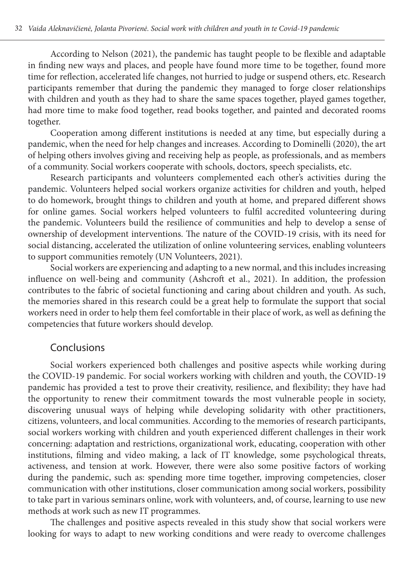According to Nelson (2021), the pandemic has taught people to be flexible and adaptable in finding new ways and places, and people have found more time to be together, found more time for reflection, accelerated life changes, not hurried to judge or suspend others, etc. Research participants remember that during the pandemic they managed to forge closer relationships with children and youth as they had to share the same spaces together, played games together, had more time to make food together, read books together, and painted and decorated rooms together.

Cooperation among different institutions is needed at any time, but especially during a pandemic, when the need for help changes and increases. According to Dominelli (2020), the art of helping others involves giving and receiving help as people, as professionals, and as members of a community. Social workers cooperate with schools, doctors, speech specialists, etc.

Research participants and volunteers complemented each other's activities during the pandemic. Volunteers helped social workers organize activities for children and youth, helped to do homework, brought things to children and youth at home, and prepared different shows for online games. Social workers helped volunteers to fulfil accredited volunteering during the pandemic. Volunteers build the resilience of communities and help to develop a sense of ownership of development interventions. The nature of the COVID-19 crisis, with its need for social distancing, accelerated the utilization of online volunteering services, enabling volunteers to support communities remotely (UN Volunteers, 2021).

Social workers are experiencing and adapting to a new normal, and this includes increasing influence on well-being and community (Ashcroft et al., 2021). In addition, the profession contributes to the fabric of societal functioning and caring about children and youth. As such, the memories shared in this research could be a great help to formulate the support that social workers need in order to help them feel comfortable in their place of work, as well as defining the competencies that future workers should develop.

#### Conclusions

Social workers experienced both challenges and positive aspects while working during the COVID-19 pandemic. For social workers working with children and youth, the COVID-19 pandemic has provided a test to prove their creativity, resilience, and flexibility; they have had the opportunity to renew their commitment towards the most vulnerable people in society, discovering unusual ways of helping while developing solidarity with other practitioners, citizens, volunteers, and local communities. According to the memories of research participants, social workers working with children and youth experienced different challenges in their work concerning: adaptation and restrictions, organizational work, educating, cooperation with other institutions, filming and video making, a lack of IT knowledge, some psychological threats, activeness, and tension at work. However, there were also some positive factors of working during the pandemic, such as: spending more time together, improving competencies, closer communication with other institutions, closer communication among social workers, possibility to take part in various seminars online, work with volunteers, and, of course, learning to use new methods at work such as new IT programmes.

The challenges and positive aspects revealed in this study show that social workers were looking for ways to adapt to new working conditions and were ready to overcome challenges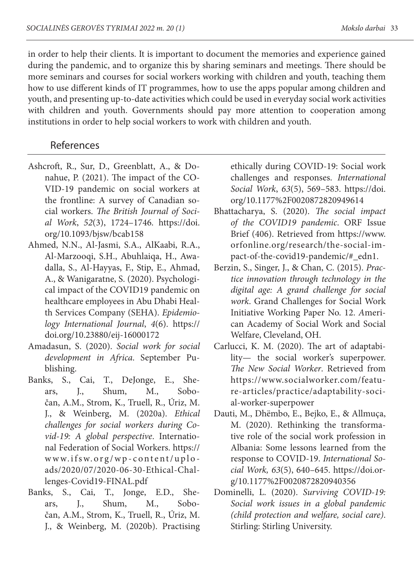in order to help their clients. It is important to document the memories and experience gained during the pandemic, and to organize this by sharing seminars and meetings. There should be more seminars and courses for social workers working with children and youth, teaching them how to use different kinds of IT programmes, how to use the apps popular among children and youth, and presenting up-to-date activities which could be used in everyday social work activities with children and youth. Governments should pay more attention to cooperation among institutions in order to help social workers to work with children and youth.

#### References

- Ashcroft, R., Sur, D., Greenblatt, A., & Donahue, P. (2021). The impact of the CO-VID-19 pandemic on social workers at the frontline: A survey of Canadian social workers. *The British Journal of Social Work*, *52*(3), 1724–1746. https://doi. org/10.1093/bjsw/bcab158
- Ahmed, N.N., Al-Jasmi, S.A., AlKaabi, R.A., Al-Marzooqi, S.H., Abuhlaiqa, H., Awadalla, S., Al-Hayyas, F., Stip, E., Ahmad, A., & Wanigaratne, S. (2020). Psychological impact of the COVID19 pandemic on healthcare employees in Abu Dhabi Health Services Company (SEHA). *Epidemiology International Journal*, *4*(6). https:// doi.org/10.23880/eij-16000172
- Amadasun, S. (2020). *Social work for social development in Africa*. September Publishing.
- Banks, S., Cai, T., DeJonge, E., Shears, J., Shum, M., Sobočan, A.M., Strom, K., Truell, R., Úriz, M. J., & Weinberg, M. (2020a). *Ethical challenges for social workers during Covid-19: A global perspective*. International Federation of Social Workers. https:// www.ifsw.org/wp-content/uplo ads/2020/07/2020-06-30-Ethical-Challenges-Covid19-FINAL.pdf
- Banks, S., Cai, T., Jonge, E.D., Shears, J., Shum, M., Sobočan, A.M., Strom, K., Truell, R., Úriz, M. J., & Weinberg, M. (2020b). Practising

ethically during COVID-19: Social work challenges and responses. *International Social Work*, *63*(5), 569–583. https://doi. org/10.1177%2F0020872820949614

- Bhattacharya, S. (2020). *The social impact of the COVID19 pandemic*. ORF Issue Brief (406). Retrieved from https://www. orfonline.org/research/the-social-impact-of-the-covid19-pandemic/#\_edn1.
- Berzin, S., Singer, J., & Chan, C. (2015). *Practice innovation through technology in the digital age: A grand challenge for social work*. Grand Challenges for Social Work Initiative Working Paper No. 12. *A*merican Academy of Social Work and Social Welfare, Cleveland, OH.
- Carlucci, K. M. (2020). The art of adaptability— the social worker's superpower. *The New Social Worker*. Retrieved from https://www.socialworker.com/feature-articles/practice/adaptability-social-worker-superpower
- Dauti, M., Dhëmbo, E., Bejko, E., & Allmuça, M. (2020). Rethinking the transformative role of the social work profession in Albania: Some lessons learned from the response to COVID-19. *International Social Work, 63*(5), 640–645. https://doi.org/10.1177%2F0020872820940356
- Dominelli, L. (2020). *Surviving COVID-19: Social work issues in a global pandemic (child protection and welfare, social care)*. Stirling: Stirling University.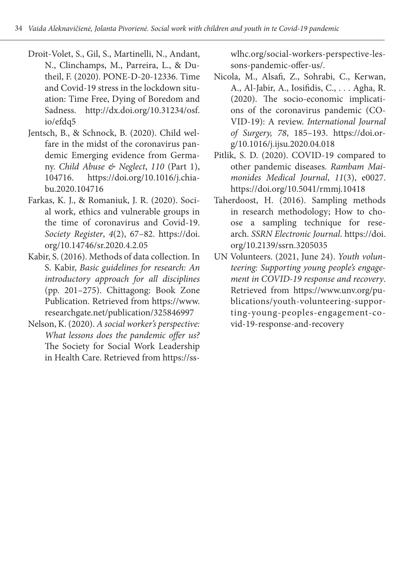- Droit-Volet, S., Gil, S., Martinelli, N., Andant, N., Clinchamps, M., Parreira, L., & Dutheil, F. (2020). PONE-D-20-12336. Time and Covid-19 stress in the lockdown situation: Time Free, Dying of Boredom and Sadness. http://dx.doi.org/10.31234/osf. io/efdq5
- Jentsch, B., & Schnock, B. (2020). Child welfare in the midst of the coronavirus pandemic Emerging evidence from Germany. *Child Abuse & Neglect*, *110* (Part 1), 104716. https://doi.org/10.1016/j.chiabu.2020.104716
- Farkas, K. J., & Romaniuk, J. R. (2020). Social work, ethics and vulnerable groups in the time of coronavirus and Covid-19. *Society Register*, *4*(2), 67–82. https://doi. org/10.14746/sr.2020.4.2.05
- Kabir, S. (2016). Methods of data collection. In S. Kabir, *Basic guidelines for research: An introductory approach for all disciplines*  (pp. 201–275). Chittagong: Book Zone Publication. Retrieved from https://www. researchgate.net/publication/325846997
- Nelson, K. (2020). *A social worker's perspective: What lessons does the pandemic offer us?* The Society for Social Work Leadership in Health Care. Retrieved from https://ss-

wlhc.org/social-workers-perspective-lessons-pandemic-offer-us/.

- Nicola, M., Alsafi, Z., Sohrabi, C., Kerwan, A., Al-Jabir, A., Iosifidis, C., . . . Agha, R. (2020). The socio-economic implications of the coronavirus pandemic (CO-VID-19): A review. *International Journal of Surgery, 78*, 185–193. https://doi.org/10.1016/j.ijsu.2020.04.018
- Pitlik, S. D. (2020). COVID-19 compared to other pandemic diseases. *Rambam Maimonides Medical Journal*, *11*(3), e0027. https://doi.org/10.5041/rmmj.10418
- Taherdoost, H. (2016). Sampling methods in research methodology; How to choose a sampling technique for research. *SSRN Electronic Journal*. https://doi. org/10.2139/ssrn.3205035
- UN Volunteers. (2021, June 24). *Youth volunteering: Supporting young people's engagement in COVID-19 response and recovery*. Retrieved from https://www.unv.org/publications/youth-volunteering-supporting-young-peoples-engagement-covid-19-response-and-recovery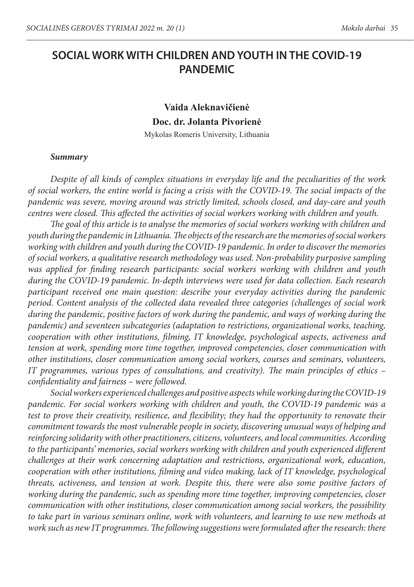# **SOCIAL WORK WITH CHILDREN AND YOUTH IN THE COVID-19 PANDEMIC**

# **Vaida Aleknavičienė Doc. dr. Jolanta Pivorienė**

Mykolas Romeris University, Lithuania

#### *Summary*

*Despite of all kinds of complex situations in everyday life and the peculiarities of the work of social workers, the entire world is facing a crisis with the COVID-19. The social impacts of the pandemic was severe, moving around was strictly limited, schools closed, and day-care and youth centres were closed. This affected the activities of social workers working with children and youth.* 

*The goal of this article is to analyse the memories of social workers working with children and youth during the pandemic in Lithuania. The objects of the research are the memories of social workers working with children and youth during the COVID-19 pandemic. In order to discover the memories of social workers, a qualitative research methodology was used. Non-probability purposive sampling was applied for finding research participants: social workers working with children and youth during the COVID-19 pandemic. In-depth interviews were used for data collection. Each research participant received one main question: describe your everyday activities during the pandemic period. Content analysis of the collected data revealed three categories (challenges of social work during the pandemic, positive factors of work during the pandemic, and ways of working during the pandemic) and seventeen subcategories (adaptation to restrictions, organizational works, teaching, cooperation with other institutions, filming, IT knowledge, psychological aspects, activeness and tension at work, spending more time together, improved competencies, closer communication with other institutions, closer communication among social workers, courses and seminars, volunteers, IT programmes, various types of consultations, and creativity). The main principles of ethics – confidentiality and fairness – were followed.* 

*Social workers experienced challenges and positive aspects while working during the COVID-19 pandemic. For social workers working with children and youth, the COVID-19 pandemic was a test to prove their creativity, resilience, and flexibility; they had the opportunity to renovate their commitment towards the most vulnerable people in society, discovering unusual ways of helping and reinforcing solidarity with other practitioners, citizens, volunteers, and local communities. According to the participants' memories, social workers working with children and youth experienced different challenges at their work concerning adaptation and restrictions, organizational work, education, cooperation with other institutions, filming and video making, lack of IT knowledge, psychological threats, activeness, and tension at work. Despite this, there were also some positive factors of working during the pandemic, such as spending more time together, improving competencies, closer communication with other institutions, closer communication among social workers, the possibility to take part in various seminars online, work with volunteers, and learning to use new methods at work such as new IT programmes. The following suggestions were formulated after the research: there*